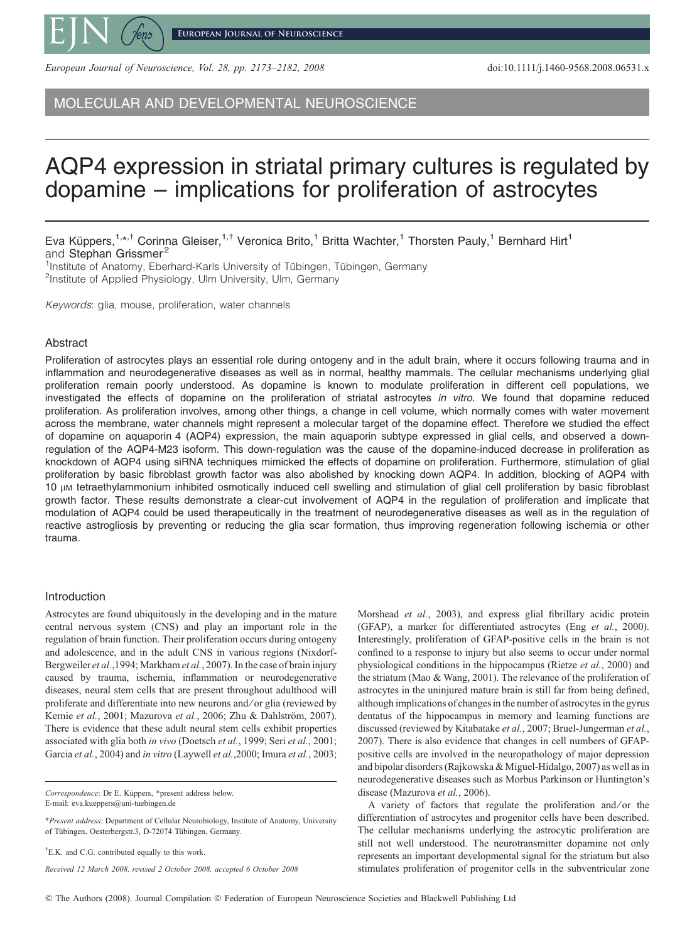

**European Journal of Neuroscience**

European Journal of Neuroscience, Vol. 28, pp. 2173–2182, 2008 doi:10.1111/j.1460-9568.2008.06531.x

MOLECULAR AND DEVELOPMENTAL NEUROSCIENCE

# AQP4 expression in striatal primary cultures is regulated by dopamine – implications for proliferation of astrocytes

Eva Küppers,<sup>1,\*,†</sup> Corinna Gleiser,<sup>1,†</sup> Veronica Brito,<sup>1</sup> Britta Wachter,<sup>1</sup> Thorsten Pauly,<sup>1</sup> Bernhard Hirt<sup>1</sup> and Stephan Grissmer<sup>2</sup>

<sup>1</sup>Institute of Anatomy, Eberhard-Karls University of Tübingen, Tübingen, Germany<br><sup>2</sup>Institute of Annlied Physiology, Ulm University Ulm, Germany <sup>2</sup>Institute of Applied Physiology, Ulm University, Ulm, Germany

Keywords: glia, mouse, proliferation, water channels

# Abstract

Proliferation of astrocytes plays an essential role during ontogeny and in the adult brain, where it occurs following trauma and in inflammation and neurodegenerative diseases as well as in normal, healthy mammals. The cellular mechanisms underlying glial proliferation remain poorly understood. As dopamine is known to modulate proliferation in different cell populations, we investigated the effects of dopamine on the proliferation of striatal astrocytes in vitro. We found that dopamine reduced proliferation. As proliferation involves, among other things, a change in cell volume, which normally comes with water movement across the membrane, water channels might represent a molecular target of the dopamine effect. Therefore we studied the effect of dopamine on aquaporin 4 (AQP4) expression, the main aquaporin subtype expressed in glial cells, and observed a downregulation of the AQP4-M23 isoform. This down-regulation was the cause of the dopamine-induced decrease in proliferation as knockdown of AQP4 using siRNA techniques mimicked the effects of dopamine on proliferation. Furthermore, stimulation of glial proliferation by basic fibroblast growth factor was also abolished by knocking down AQP4. In addition, blocking of AQP4 with 10 lm tetraethylammonium inhibited osmotically induced cell swelling and stimulation of glial cell proliferation by basic fibroblast growth factor. These results demonstrate a clear-cut involvement of AQP4 in the regulation of proliferation and implicate that modulation of AQP4 could be used therapeutically in the treatment of neurodegenerative diseases as well as in the regulation of reactive astrogliosis by preventing or reducing the glia scar formation, thus improving regeneration following ischemia or other trauma.

#### Introduction

Astrocytes are found ubiquitously in the developing and in the mature central nervous system (CNS) and play an important role in the regulation of brain function. Their proliferation occurs during ontogeny and adolescence, and in the adult CNS in various regions (Nixdorf-Bergweiler et al.,1994; Markham et al., 2007). In the case of brain injury caused by trauma, ischemia, inflammation or neurodegenerative diseases, neural stem cells that are present throughout adulthood will proliferate and differentiate into new neurons and ⁄ or glia (reviewed by Kernie et al., 2001; Mazurova et al., 2006; Zhu & Dahlström, 2007). There is evidence that these adult neural stem cells exhibit properties associated with glia both in vivo (Doetsch et al., 1999; Seri et al., 2001; Garcia et al., 2004) and in vitro (Laywell et al., 2000; Imura et al., 2003;

Correspondence: Dr E. Küppers, \*present address below. E-mail: eva.kueppers@uni-tuebingen.de

<sup>†</sup>E.K. and C.G. contributed equally to this work.

Received 12 March 2008, revised 2 October 2008, accepted 6 October 2008

Morshead et al., 2003), and express glial fibrillary acidic protein (GFAP), a marker for differentiated astrocytes (Eng et al., 2000). Interestingly, proliferation of GFAP-positive cells in the brain is not confined to a response to injury but also seems to occur under normal physiological conditions in the hippocampus (Rietze et al., 2000) and the striatum (Mao & Wang, 2001). The relevance of the proliferation of astrocytes in the uninjured mature brain is still far from being defined, although implications of changes in the number of astrocytes in the gyrus dentatus of the hippocampus in memory and learning functions are discussed (reviewed by Kitabatake et al., 2007; Bruel-Jungerman et al., 2007). There is also evidence that changes in cell numbers of GFAPpositive cells are involved in the neuropathology of major depression and bipolar disorders (Rajkowska & Miguel-Hidalgo, 2007) as well as in neurodegenerative diseases such as Morbus Parkinson or Huntington's disease (Mazurova et al., 2006).

A variety of factors that regulate the proliferation and/or the differentiation of astrocytes and progenitor cells have been described. The cellular mechanisms underlying the astrocytic proliferation are still not well understood. The neurotransmitter dopamine not only represents an important developmental signal for the striatum but also stimulates proliferation of progenitor cells in the subventricular zone

<sup>\*</sup>Present address: Department of Cellular Neurobiology, Institute of Anatomy, University of Tübingen, Oesterbergstr.3, D-72074 Tübingen, Germany.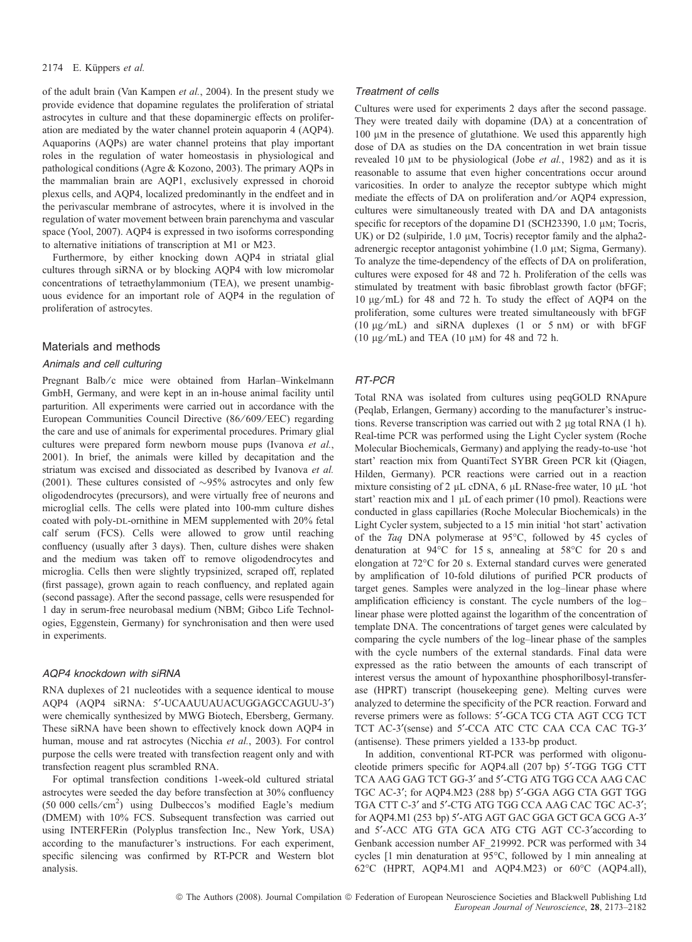of the adult brain (Van Kampen et al., 2004). In the present study we provide evidence that dopamine regulates the proliferation of striatal astrocytes in culture and that these dopaminergic effects on proliferation are mediated by the water channel protein aquaporin 4 (AQP4). Aquaporins (AQPs) are water channel proteins that play important roles in the regulation of water homeostasis in physiological and pathological conditions (Agre & Kozono, 2003). The primary AQPs in the mammalian brain are AQP1, exclusively expressed in choroid plexus cells, and AQP4, localized predominantly in the endfeet and in the perivascular membrane of astrocytes, where it is involved in the regulation of water movement between brain parenchyma and vascular space (Yool, 2007). AQP4 is expressed in two isoforms corresponding to alternative initiations of transcription at M1 or M23.

Furthermore, by either knocking down AQP4 in striatal glial cultures through siRNA or by blocking AQP4 with low micromolar concentrations of tetraethylammonium (TEA), we present unambiguous evidence for an important role of AQP4 in the regulation of proliferation of astrocytes.

# Materials and methods

## Animals and cell culturing

Pregnant Balb/c mice were obtained from Harlan–Winkelmann GmbH, Germany, and were kept in an in-house animal facility until parturition. All experiments were carried out in accordance with the European Communities Council Directive (86/609/EEC) regarding the care and use of animals for experimental procedures. Primary glial cultures were prepared form newborn mouse pups (Ivanova et al., 2001). In brief, the animals were killed by decapitation and the striatum was excised and dissociated as described by Ivanova et al. (2001). These cultures consisted of  $\sim$ 95% astrocytes and only few oligodendrocytes (precursors), and were virtually free of neurons and microglial cells. The cells were plated into 100-mm culture dishes coated with poly-DL-ornithine in MEM supplemented with 20% fetal calf serum (FCS). Cells were allowed to grow until reaching confluency (usually after 3 days). Then, culture dishes were shaken and the medium was taken off to remove oligodendrocytes and microglia. Cells then were slightly trypsinized, scraped off, replated (first passage), grown again to reach confluency, and replated again (second passage). After the second passage, cells were resuspended for 1 day in serum-free neurobasal medium (NBM; Gibco Life Technologies, Eggenstein, Germany) for synchronisation and then were used in experiments.

## AQP4 knockdown with siRNA

RNA duplexes of 21 nucleotides with a sequence identical to mouse AQP4 (AQP4 siRNA: 5'-UCAAUUAUACUGGAGCCAGUU-3') were chemically synthesized by MWG Biotech, Ebersberg, Germany. These siRNA have been shown to effectively knock down AQP4 in human, mouse and rat astrocytes (Nicchia et al., 2003). For control purpose the cells were treated with transfection reagent only and with transfection reagent plus scrambled RNA.

For optimal transfection conditions 1-week-old cultured striatal astrocytes were seeded the day before transfection at 30% confluency (50 000 cells/cm<sup>2</sup>) using Dulbeccos's modified Eagle's medium (DMEM) with 10% FCS. Subsequent transfection was carried out using INTERFERin (Polyplus transfection Inc., New York, USA) according to the manufacturer's instructions. For each experiment, specific silencing was confirmed by RT-PCR and Western blot analysis.

### Treatment of cells

Cultures were used for experiments 2 days after the second passage. They were treated daily with dopamine (DA) at a concentration of 100 μm in the presence of glutathione. We used this apparently high dose of DA as studies on the DA concentration in wet brain tissue revealed 10  $\mu$ M to be physiological (Jobe *et al.*, 1982) and as it is reasonable to assume that even higher concentrations occur around varicosities. In order to analyze the receptor subtype which might mediate the effects of DA on proliferation and/or AQP4 expression, cultures were simultaneously treated with DA and DA antagonists specific for receptors of the dopamine D1 (SCH23390, 1.0  $\mu$ M; Tocris, UK) or D2 (sulpiride,  $1.0 \mu$ M, Tocris) receptor family and the alpha2adrenergic receptor antagonist yohimbine  $(1.0 \mu M;$  Sigma, Germany). To analyze the time-dependency of the effects of DA on proliferation, cultures were exposed for 48 and 72 h. Proliferation of the cells was stimulated by treatment with basic fibroblast growth factor (bFGF; 10 lg ⁄ mL) for 48 and 72 h. To study the effect of AQP4 on the proliferation, some cultures were treated simultaneously with bFGF (10  $\mu$ g/mL) and siRNA duplexes (1 or 5 nM) or with bFGF (10  $\mu$ g/mL) and TEA (10  $\mu$ M) for 48 and 72 h.

# RT-PCR

Total RNA was isolated from cultures using peqGOLD RNApure (Peqlab, Erlangen, Germany) according to the manufacturer's instructions. Reverse transcription was carried out with 2  $\mu$ g total RNA (1 h). Real-time PCR was performed using the Light Cycler system (Roche Molecular Biochemicals, Germany) and applying the ready-to-use 'hot start' reaction mix from QuantiTect SYBR Green PCR kit (Qiagen, Hilden, Germany). PCR reactions were carried out in a reaction mixture consisting of 2  $\mu$ L cDNA, 6  $\mu$ L RNase-free water, 10  $\mu$ L 'hot start' reaction mix and  $1 \mu$ L of each primer (10 pmol). Reactions were conducted in glass capillaries (Roche Molecular Biochemicals) in the Light Cycler system, subjected to a 15 min initial 'hot start' activation of the Taq DNA polymerase at  $95^{\circ}$ C, followed by 45 cycles of denaturation at  $94^{\circ}$ C for 15 s, annealing at  $58^{\circ}$ C for 20 s and elongation at 72°C for 20 s. External standard curves were generated by amplification of 10-fold dilutions of purified PCR products of target genes. Samples were analyzed in the log–linear phase where amplification efficiency is constant. The cycle numbers of the log– linear phase were plotted against the logarithm of the concentration of template DNA. The concentrations of target genes were calculated by comparing the cycle numbers of the log–linear phase of the samples with the cycle numbers of the external standards. Final data were expressed as the ratio between the amounts of each transcript of interest versus the amount of hypoxanthine phosphorilbosyl-transferase (HPRT) transcript (housekeeping gene). Melting curves were analyzed to determine the specificity of the PCR reaction. Forward and reverse primers were as follows: 5'-GCA TCG CTA AGT CCG TCT TCT AC-3'(sense) and 5'-CCA ATC CTC CAA CCA CAC TG-3' (antisense). These primers yielded a 133-bp product.

In addition, conventional RT-PCR was performed with oligonucleotide primers specific for AQP4.all (207 bp) 5'-TGG TGG CTT TCA AAG GAG TCT GG-3' and 5'-CTG ATG TGG CCA AAG CAC TGC AC-3'; for AQP4.M23 (288 bp) 5'-GGA AGG CTA GGT TGG TGA CTT C-3' and 5'-CTG ATG TGG CCA AAG CAC TGC AC-3'; for AQP4.M1 (253 bp) 5'-ATG AGT GAC GGA GCT GCA GCG A-3' and 5¢-ACC ATG GTA GCA ATG CTG AGT CC-3¢according to Genbank accession number AF\_219992. PCR was performed with 34 cycles [1 min denaturation at 95°C, followed by 1 min annealing at 62°C (HPRT, AQP4.M1 and AQP4.M23) or 60°C (AQP4.all),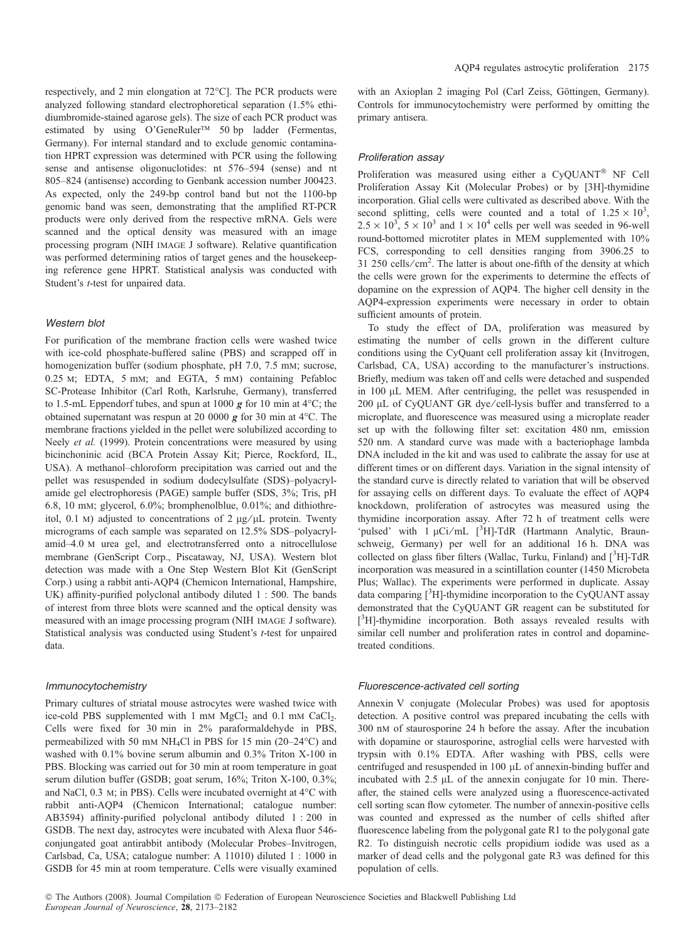respectively, and 2 min elongation at 72°C]. The PCR products were analyzed following standard electrophoretical separation (1.5% ethidiumbromide-stained agarose gels). The size of each PCR product was estimated by using O'GeneRuler<sup>TM</sup> 50 bp ladder (Fermentas, Germany). For internal standard and to exclude genomic contamination HPRT expression was determined with PCR using the following sense and antisense oligonuclotides: nt 576–594 (sense) and nt 805–824 (antisense) according to Genbank accession number J00423. As expected, only the 249-bp control band but not the 1100-bp genomic band was seen, demonstrating that the amplified RT-PCR products were only derived from the respective mRNA. Gels were scanned and the optical density was measured with an image processing program (NIH image J software). Relative quantification was performed determining ratios of target genes and the housekeeping reference gene HPRT. Statistical analysis was conducted with Student's *t*-test for unpaired data.

### Western blot

For purification of the membrane fraction cells were washed twice with ice-cold phosphate-buffered saline (PBS) and scrapped off in homogenization buffer (sodium phosphate, pH 7.0, 7.5 mm; sucrose, 0.25 m; EDTA, 5 mm; and EGTA, 5 mm) containing Pefabloc SC-Protease Inhibitor (Carl Roth, Karlsruhe, Germany), transferred to 1.5-mL Eppendorf tubes, and spun at 1000  $g$  for 10 min at 4°C; the obtained supernatant was respun at 20 0000  $g$  for 30 min at 4 °C. The membrane fractions yielded in the pellet were solubilized according to Neely et al. (1999). Protein concentrations were measured by using bicinchoninic acid (BCA Protein Assay Kit; Pierce, Rockford, IL, USA). A methanol–chloroform precipitation was carried out and the pellet was resuspended in sodium dodecylsulfate (SDS)–polyacrylamide gel electrophoresis (PAGE) sample buffer (SDS, 3%; Tris, pH 6.8, 10 mm; glycerol, 6.0%; bromphenolblue, 0.01%; and dithiothreitol, 0.1 M) adjusted to concentrations of 2  $\mu$ g/ $\mu$ L protein. Twenty micrograms of each sample was separated on 12.5% SDS–polyacrylamid–4.0 m urea gel, and electrotransferred onto a nitrocellulose membrane (GenScript Corp., Piscataway, NJ, USA). Western blot detection was made with a One Step Western Blot Kit (GenScript Corp.) using a rabbit anti-AQP4 (Chemicon International, Hampshire, UK) affinity-purified polyclonal antibody diluted 1 : 500. The bands of interest from three blots were scanned and the optical density was measured with an image processing program (NIH image J software). Statistical analysis was conducted using Student's t-test for unpaired data.

#### Immunocytochemistry

Primary cultures of striatal mouse astrocytes were washed twice with ice-cold PBS supplemented with  $1 \text{ mM } MgCl_2$  and  $0.1 \text{ mM } CaCl_2$ . Cells were fixed for 30 min in 2% paraformaldehyde in PBS, permeabilized with 50 mm NH<sub>4</sub>Cl in PBS for 15 min (20–24°C) and washed with 0.1% bovine serum albumin and 0.3% Triton X-100 in PBS. Blocking was carried out for 30 min at room temperature in goat serum dilution buffer (GSDB; goat serum, 16%; Triton X-100, 0.3%; and NaCl,  $0.3$  M; in PBS). Cells were incubated overnight at  $4^{\circ}$ C with rabbit anti-AQP4 (Chemicon International; catalogue number: AB3594) affinity-purified polyclonal antibody diluted 1 : 200 in GSDB. The next day, astrocytes were incubated with Alexa fluor 546 conjungated goat antirabbit antibody (Molecular Probes–Invitrogen, Carlsbad, Ca, USA; catalogue number: A 11010) diluted 1 : 1000 in GSDB for 45 min at room temperature. Cells were visually examined with an Axioplan 2 imaging Pol (Carl Zeiss, Göttingen, Germany). Controls for immunocytochemistry were performed by omitting the primary antisera.

# Proliferation assay

Proliferation was measured using either a CyQUANT® NF Cell Proliferation Assay Kit (Molecular Probes) or by [3H]-thymidine incorporation. Glial cells were cultivated as described above. With the second splitting, cells were counted and a total of  $1.25 \times 10^3$ ,  $2.5 \times 10^3$ ,  $5 \times 10^3$  and  $1 \times 10^4$  cells per well was seeded in 96-well round-bottomed microtiter plates in MEM supplemented with 10% FCS, corresponding to cell densities ranging from 3906.25 to 31 250 cells/ $\text{cm}^2$ . The latter is about one-fifth of the density at which the cells were grown for the experiments to determine the effects of dopamine on the expression of AQP4. The higher cell density in the AQP4-expression experiments were necessary in order to obtain sufficient amounts of protein.

To study the effect of DA, proliferation was measured by estimating the number of cells grown in the different culture conditions using the CyQuant cell proliferation assay kit (Invitrogen, Carlsbad, CA, USA) according to the manufacturer's instructions. Briefly, medium was taken off and cells were detached and suspended in 100 µL MEM. After centrifuging, the pellet was resuspended in 200 µL of CyQUANT GR dye/cell-lysis buffer and transferred to a microplate, and fluorescence was measured using a microplate reader set up with the following filter set: excitation 480 nm, emission 520 nm. A standard curve was made with a bacteriophage lambda DNA included in the kit and was used to calibrate the assay for use at different times or on different days. Variation in the signal intensity of the standard curve is directly related to variation that will be observed for assaying cells on different days. To evaluate the effect of AQP4 knockdown, proliferation of astrocytes was measured using the thymidine incorporation assay. After 72 h of treatment cells were 'pulsed' with 1 µCi/mL [<sup>3</sup>H]-TdR (Hartmann Analytic, Braunschweig, Germany) per well for an additional 16 h. DNA was collected on glass fiber filters (Wallac, Turku, Finland) and [<sup>3</sup>H]-TdR incorporation was measured in a scintillation counter (1450 Microbeta Plus; Wallac). The experiments were performed in duplicate. Assay data comparing [3H]-thymidine incorporation to the CyQUANT assay demonstrated that the CyQUANT GR reagent can be substituted for [<sup>3</sup>H]-thymidine incorporation. Both assays revealed results with similar cell number and proliferation rates in control and dopaminetreated conditions.

#### Fluorescence-activated cell sorting

Annexin V conjugate (Molecular Probes) was used for apoptosis detection. A positive control was prepared incubating the cells with 300 nm of staurosporine 24 h before the assay. After the incubation with dopamine or staurosporine, astroglial cells were harvested with trypsin with 0.1% EDTA. After washing with PBS, cells were centrifuged and resuspended in  $100 \mu L$  of annexin-binding buffer and incubated with  $2.5 \mu L$  of the annexin conjugate for 10 min. Thereafter, the stained cells were analyzed using a fluorescence-activated cell sorting scan flow cytometer. The number of annexin-positive cells was counted and expressed as the number of cells shifted after fluorescence labeling from the polygonal gate R1 to the polygonal gate R2. To distinguish necrotic cells propidium iodide was used as a marker of dead cells and the polygonal gate R3 was defined for this population of cells.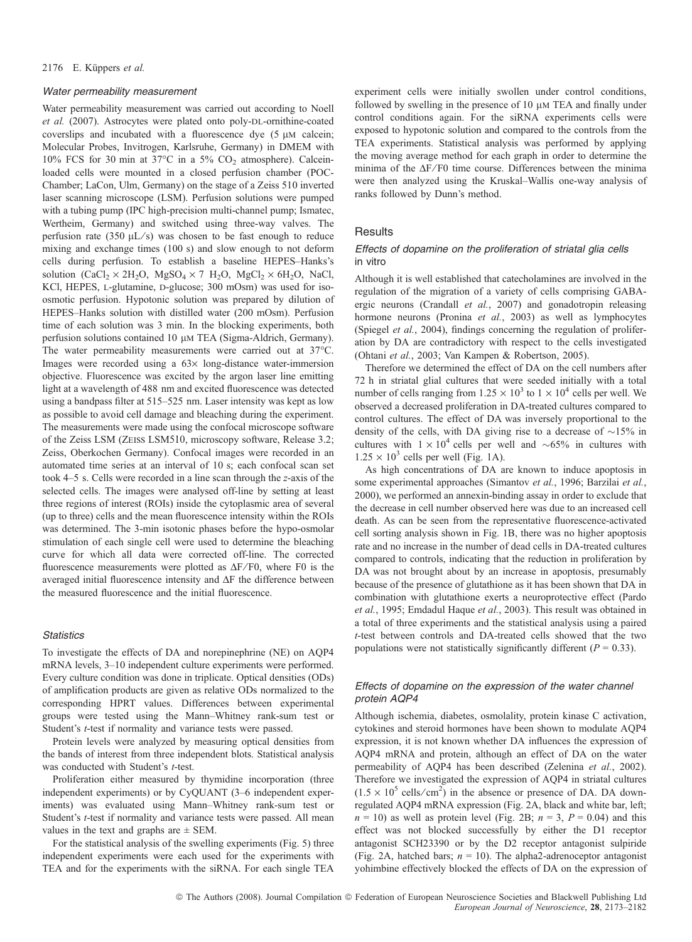#### 2176 E. Küppers et al.

#### Water permeability measurement

Water permeability measurement was carried out according to Noell et al. (2007). Astrocytes were plated onto poly-DL-ornithine-coated coverslips and incubated with a fluorescence dye  $(5 \mu M)$  calcein; Molecular Probes, Invitrogen, Karlsruhe, Germany) in DMEM with 10% FCS for 30 min at 37 $^{\circ}$ C in a 5% CO<sub>2</sub> atmosphere). Calceinloaded cells were mounted in a closed perfusion chamber (POC-Chamber; LaCon, Ulm, Germany) on the stage of a Zeiss 510 inverted laser scanning microscope (LSM). Perfusion solutions were pumped with a tubing pump (IPC high-precision multi-channel pump; Ismatec, Wertheim, Germany) and switched using three-way valves. The perfusion rate (350  $\mu$ L/s) was chosen to be fast enough to reduce mixing and exchange times (100 s) and slow enough to not deform cells during perfusion. To establish a baseline HEPES–Hanks's solution  $(CaCl_2 \times 2H_2O, MgSO_4 \times 7 H_2O, MgCl_2 \times 6H_2O, NaCl,$ KCl, HEPES, L-glutamine, D-glucose; 300 mOsm) was used for isoosmotic perfusion. Hypotonic solution was prepared by dilution of HEPES–Hanks solution with distilled water (200 mOsm). Perfusion time of each solution was 3 min. In the blocking experiments, both perfusion solutions contained 10 µM TEA (Sigma-Aldrich, Germany). The water permeability measurements were carried out at  $37^{\circ}$ C. Images were recorded using a  $63\times$  long-distance water-immersion objective. Fluorescence was excited by the argon laser line emitting light at a wavelength of 488 nm and excited fluorescence was detected using a bandpass filter at 515–525 nm. Laser intensity was kept as low as possible to avoid cell damage and bleaching during the experiment. The measurements were made using the confocal microscope software of the Zeiss LSM (Zeiss LSM510, microscopy software, Release 3.2; Zeiss, Oberkochen Germany). Confocal images were recorded in an automated time series at an interval of 10 s; each confocal scan set took 4–5 s. Cells were recorded in a line scan through the z-axis of the selected cells. The images were analysed off-line by setting at least three regions of interest (ROIs) inside the cytoplasmic area of several (up to three) cells and the mean fluorescence intensity within the ROIs was determined. The 3-min isotonic phases before the hypo-osmolar stimulation of each single cell were used to determine the bleaching curve for which all data were corrected off-line. The corrected fluorescence measurements were plotted as  $\Delta F/F0$ , where F0 is the averaged initial fluorescence intensity and  $\Delta F$  the difference between the measured fluorescence and the initial fluorescence.

# **Statistics**

To investigate the effects of DA and norepinephrine (NE) on AQP4 mRNA levels, 3–10 independent culture experiments were performed. Every culture condition was done in triplicate. Optical densities (ODs) of amplification products are given as relative ODs normalized to the corresponding HPRT values. Differences between experimental groups were tested using the Mann–Whitney rank-sum test or Student's *t*-test if normality and variance tests were passed.

Protein levels were analyzed by measuring optical densities from the bands of interest from three independent blots. Statistical analysis was conducted with Student's t-test.

Proliferation either measured by thymidine incorporation (three independent experiments) or by CyQUANT (3–6 independent experiments) was evaluated using Mann–Whitney rank-sum test or Student's *t*-test if normality and variance tests were passed. All mean values in the text and graphs are  $\pm$  SEM.

For the statistical analysis of the swelling experiments (Fig. 5) three independent experiments were each used for the experiments with TEA and for the experiments with the siRNA. For each single TEA experiment cells were initially swollen under control conditions, followed by swelling in the presence of 10  $\mu$ M TEA and finally under control conditions again. For the siRNA experiments cells were exposed to hypotonic solution and compared to the controls from the TEA experiments. Statistical analysis was performed by applying the moving average method for each graph in order to determine the minima of the  $\Delta F$ /F0 time course. Differences between the minima were then analyzed using the Kruskal–Wallis one-way analysis of ranks followed by Dunn's method.

## **Results**

### Effects of dopamine on the proliferation of striatal glia cells in vitro

Although it is well established that catecholamines are involved in the regulation of the migration of a variety of cells comprising GABAergic neurons (Crandall et al., 2007) and gonadotropin releasing hormone neurons (Pronina et al., 2003) as well as lymphocytes (Spiegel et al., 2004), findings concerning the regulation of proliferation by DA are contradictory with respect to the cells investigated (Ohtani et al., 2003; Van Kampen & Robertson, 2005).

Therefore we determined the effect of DA on the cell numbers after 72 h in striatal glial cultures that were seeded initially with a total number of cells ranging from  $1.25 \times 10^3$  to  $1 \times 10^4$  cells per well. We observed a decreased proliferation in DA-treated cultures compared to control cultures. The effect of DA was inversely proportional to the density of the cells, with DA giving rise to a decrease of  $\sim$ 15% in cultures with  $1 \times 10^4$  cells per well and  $\sim 65\%$  in cultures with  $1.25 \times 10^3$  cells per well (Fig. 1A).

As high concentrations of DA are known to induce apoptosis in some experimental approaches (Simantov et al., 1996; Barzilai et al., 2000), we performed an annexin-binding assay in order to exclude that the decrease in cell number observed here was due to an increased cell death. As can be seen from the representative fluorescence-activated cell sorting analysis shown in Fig. 1B, there was no higher apoptosis rate and no increase in the number of dead cells in DA-treated cultures compared to controls, indicating that the reduction in proliferation by DA was not brought about by an increase in apoptosis, presumably because of the presence of glutathione as it has been shown that DA in combination with glutathione exerts a neuroprotective effect (Pardo et al., 1995; Emdadul Haque et al., 2003). This result was obtained in a total of three experiments and the statistical analysis using a paired t-test between controls and DA-treated cells showed that the two populations were not statistically significantly different ( $P = 0.33$ ).

## Effects of dopamine on the expression of the water channel protein AQP4

Although ischemia, diabetes, osmolality, protein kinase C activation, cytokines and steroid hormones have been shown to modulate AQP4 expression, it is not known whether DA influences the expression of AQP4 mRNA and protein, although an effect of DA on the water permeability of AQP4 has been described (Zelenina et al., 2002). Therefore we investigated the expression of AQP4 in striatal cultures  $(1.5 \times 10^5 \text{ cells/cm}^2)$  in the absence or presence of DA. DA downregulated AQP4 mRNA expression (Fig. 2A, black and white bar, left;  $n = 10$ ) as well as protein level (Fig. 2B;  $n = 3$ ,  $P = 0.04$ ) and this effect was not blocked successfully by either the D1 receptor antagonist SCH23390 or by the D2 receptor antagonist sulpiride (Fig. 2A, hatched bars;  $n = 10$ ). The alpha2-adrenoceptor antagonist yohimbine effectively blocked the effects of DA on the expression of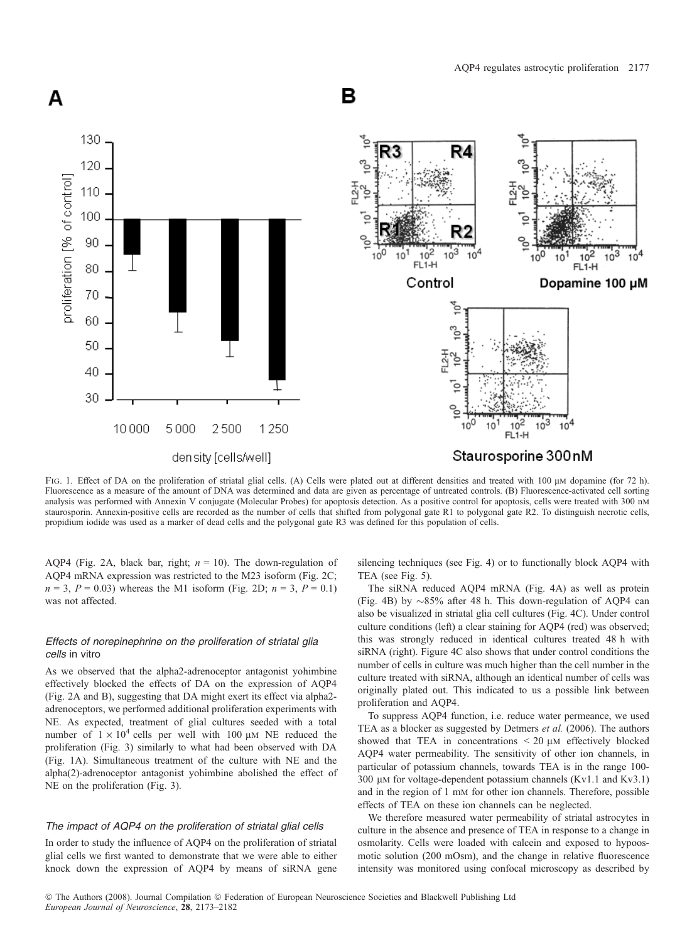

FIG. 1. Effect of DA on the proliferation of striatal glial cells. (A) Cells were plated out at different densities and treated with 100  $\mu$ M dopamine (for 72 h). Fluorescence as a measure of the amount of DNA was determined and data are given as percentage of untreated controls. (B) Fluorescence-activated cell sorting analysis was performed with Annexin V conjugate (Molecular Probes) for apoptosis detection. As a positive control for apoptosis, cells were treated with 300 nm staurosporin. Annexin-positive cells are recorded as the number of cells that shifted from polygonal gate R1 to polygonal gate R2. To distinguish necrotic cells, propidium iodide was used as a marker of dead cells and the polygonal gate R3 was defined for this population of cells.

AQP4 (Fig. 2A, black bar, right;  $n = 10$ ). The down-regulation of AQP4 mRNA expression was restricted to the M23 isoform (Fig. 2C;  $n = 3$ ,  $P = 0.03$ ) whereas the M1 isoform (Fig. 2D;  $n = 3$ ,  $P = 0.1$ ) was not affected.

# Effects of norepinephrine on the proliferation of striatal glia cells in vitro

As we observed that the alpha2-adrenoceptor antagonist yohimbine effectively blocked the effects of DA on the expression of AQP4 (Fig. 2A and B), suggesting that DA might exert its effect via alpha2 adrenoceptors, we performed additional proliferation experiments with NE. As expected, treatment of glial cultures seeded with a total number of  $1 \times 10^4$  cells per well with 100  $\mu$ M NE reduced the proliferation (Fig. 3) similarly to what had been observed with DA (Fig. 1A). Simultaneous treatment of the culture with NE and the alpha(2)-adrenoceptor antagonist yohimbine abolished the effect of NE on the proliferation (Fig. 3).

# The impact of AQP4 on the proliferation of striatal glial cells

In order to study the influence of AQP4 on the proliferation of striatal glial cells we first wanted to demonstrate that we were able to either knock down the expression of AQP4 by means of siRNA gene silencing techniques (see Fig. 4) or to functionally block AQP4 with TEA (see Fig. 5).

The siRNA reduced AQP4 mRNA (Fig. 4A) as well as protein (Fig. 4B) by  $\sim 85\%$  after 48 h. This down-regulation of AQP4 can also be visualized in striatal glia cell cultures (Fig. 4C). Under control culture conditions (left) a clear staining for AQP4 (red) was observed; this was strongly reduced in identical cultures treated 48 h with siRNA (right). Figure 4C also shows that under control conditions the number of cells in culture was much higher than the cell number in the culture treated with siRNA, although an identical number of cells was originally plated out. This indicated to us a possible link between proliferation and AQP4.

To suppress AQP4 function, i.e. reduce water permeance, we used TEA as a blocker as suggested by Detmers et al. (2006). The authors showed that TEA in concentrations  $\leq 20 \mu M$  effectively blocked AQP4 water permeability. The sensitivity of other ion channels, in particular of potassium channels, towards TEA is in the range 100- 300  $\mu$ M for voltage-dependent potassium channels (Kv1.1 and Kv3.1) and in the region of 1 mm for other ion channels. Therefore, possible effects of TEA on these ion channels can be neglected.

We therefore measured water permeability of striatal astrocytes in culture in the absence and presence of TEA in response to a change in osmolarity. Cells were loaded with calcein and exposed to hypoosmotic solution (200 mOsm), and the change in relative fluorescence intensity was monitored using confocal microscopy as described by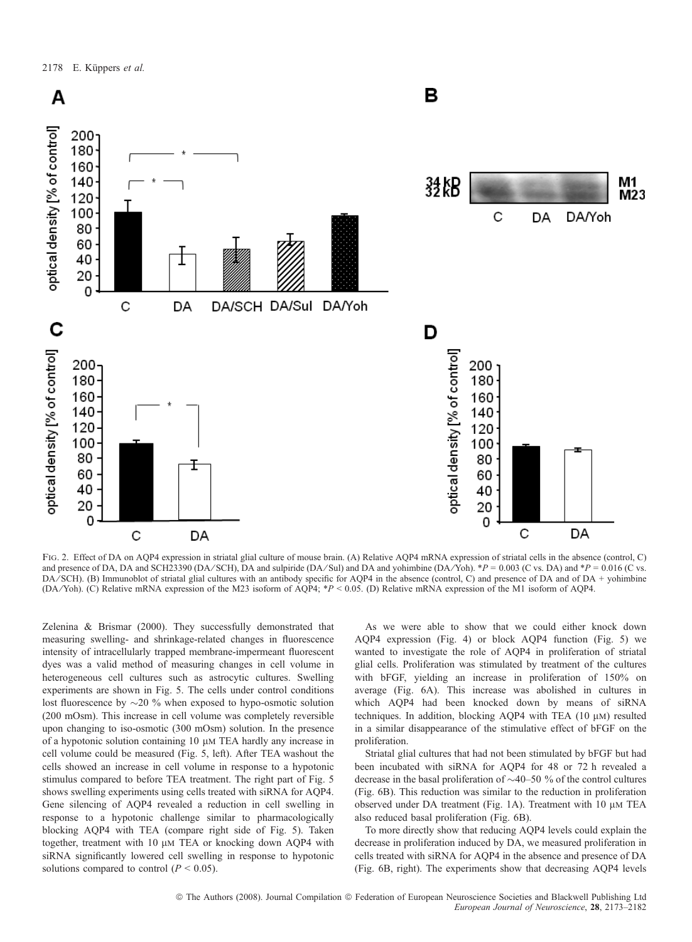

FIG. 2. Effect of DA on AQP4 expression in striatal glial culture of mouse brain. (A) Relative AQP4 mRNA expression of striatal cells in the absence (control, C) and presence of DA, DA and SCH23390 (DA/SCH), DA and sulpiride (DA/Sul) and DA and yohimbine (DA/Yoh). \*P = 0.003 (C vs. DA) and \*P = 0.016 (C vs.  $DA/SCH$ ). (B) Immunoblot of striatal glial cultures with an antibody specific for AOP4 in the absence (control, C) and presence of DA and of DA + yohimbine (DA ⁄Yoh). (C) Relative mRNA expression of the M23 isoform of AQP4; \*P < 0.05. (D) Relative mRNA expression of the M1 isoform of AQP4.

Zelenina & Brismar (2000). They successfully demonstrated that measuring swelling- and shrinkage-related changes in fluorescence intensity of intracellularly trapped membrane-impermeant fluorescent dyes was a valid method of measuring changes in cell volume in heterogeneous cell cultures such as astrocytic cultures. Swelling experiments are shown in Fig. 5. The cells under control conditions lost fluorescence by  $\sim$  20 % when exposed to hypo-osmotic solution (200 mOsm). This increase in cell volume was completely reversible upon changing to iso-osmotic (300 mOsm) solution. In the presence of a hypotonic solution containing  $10 \mu M$  TEA hardly any increase in cell volume could be measured (Fig. 5, left). After TEA washout the cells showed an increase in cell volume in response to a hypotonic stimulus compared to before TEA treatment. The right part of Fig. 5 shows swelling experiments using cells treated with siRNA for AQP4. Gene silencing of AQP4 revealed a reduction in cell swelling in response to a hypotonic challenge similar to pharmacologically blocking AQP4 with TEA (compare right side of Fig. 5). Taken together, treatment with 10  $\mu$ M TEA or knocking down AQP4 with siRNA significantly lowered cell swelling in response to hypotonic solutions compared to control ( $P < 0.05$ ).

As we were able to show that we could either knock down AQP4 expression (Fig. 4) or block AQP4 function (Fig. 5) we wanted to investigate the role of AQP4 in proliferation of striatal glial cells. Proliferation was stimulated by treatment of the cultures with bFGF, yielding an increase in proliferation of 150% on average (Fig. 6A). This increase was abolished in cultures in which AQP4 had been knocked down by means of siRNA techniques. In addition, blocking AQP4 with TEA  $(10 \mu)$  resulted in a similar disappearance of the stimulative effect of bFGF on the proliferation.

Striatal glial cultures that had not been stimulated by bFGF but had been incubated with siRNA for AQP4 for 48 or 72 h revealed a decrease in the basal proliferation of  $\sim$ 40–50 % of the control cultures (Fig. 6B). This reduction was similar to the reduction in proliferation observed under DA treatment (Fig. 1A). Treatment with  $10 \mu M$  TEA also reduced basal proliferation (Fig. 6B).

To more directly show that reducing AQP4 levels could explain the decrease in proliferation induced by DA, we measured proliferation in cells treated with siRNA for AQP4 in the absence and presence of DA (Fig. 6B, right). The experiments show that decreasing AQP4 levels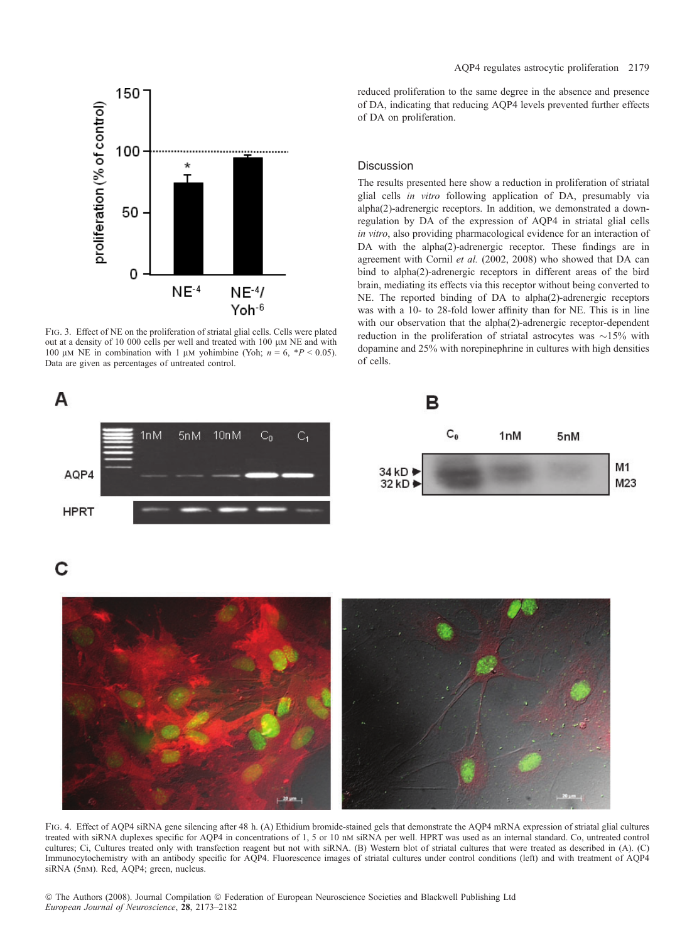AQP4 regulates astrocytic proliferation 2179



Fig. 3. Effect of NE on the proliferation of striatal glial cells. Cells were plated out at a density of 10 000 cells per well and treated with 100  $\mu$ m NE and with 100  $\mu$ M NE in combination with 1  $\mu$ M yohimbine (Yoh;  $n = 6$ , \*P < 0.05). Data are given as percentages of untreated control.

A



### **Discussion**

The results presented here show a reduction in proliferation of striatal glial cells in vitro following application of DA, presumably via alpha(2)-adrenergic receptors. In addition, we demonstrated a downregulation by DA of the expression of AQP4 in striatal glial cells in vitro, also providing pharmacological evidence for an interaction of DA with the alpha(2)-adrenergic receptor. These findings are in agreement with Cornil et al. (2002, 2008) who showed that DA can bind to alpha(2)-adrenergic receptors in different areas of the bird brain, mediating its effects via this receptor without being converted to NE. The reported binding of DA to alpha(2)-adrenergic receptors was with a 10- to 28-fold lower affinity than for NE. This is in line with our observation that the alpha(2)-adrenergic receptor-dependent reduction in the proliferation of striatal astrocytes was  $\sim$ 15% with dopamine and 25% with norepinephrine in cultures with high densities of cells.



С



FIG. 4. Effect of AQP4 siRNA gene silencing after 48 h. (A) Ethidium bromide-stained gels that demonstrate the AQP4 mRNA expression of striatal glial cultures treated with siRNA duplexes specific for AQP4 in concentrations of 1, 5 or 10 nm siRNA per well. HPRT was used as an internal standard. Co, untreated control cultures; Ci, Cultures treated only with transfection reagent but not with siRNA. (B) Western blot of striatal cultures that were treated as described in (A). (C) Immunocytochemistry with an antibody specific for AQP4. Fluorescence images of striatal cultures under control conditions (left) and with treatment of AQP4 siRNA (5nM). Red, AQP4; green, nucleus.

© The Authors (2008). Journal Compilation © Federation of European Neuroscience Societies and Blackwell Publishing Ltd European Journal of Neuroscience, 28, 2173–2182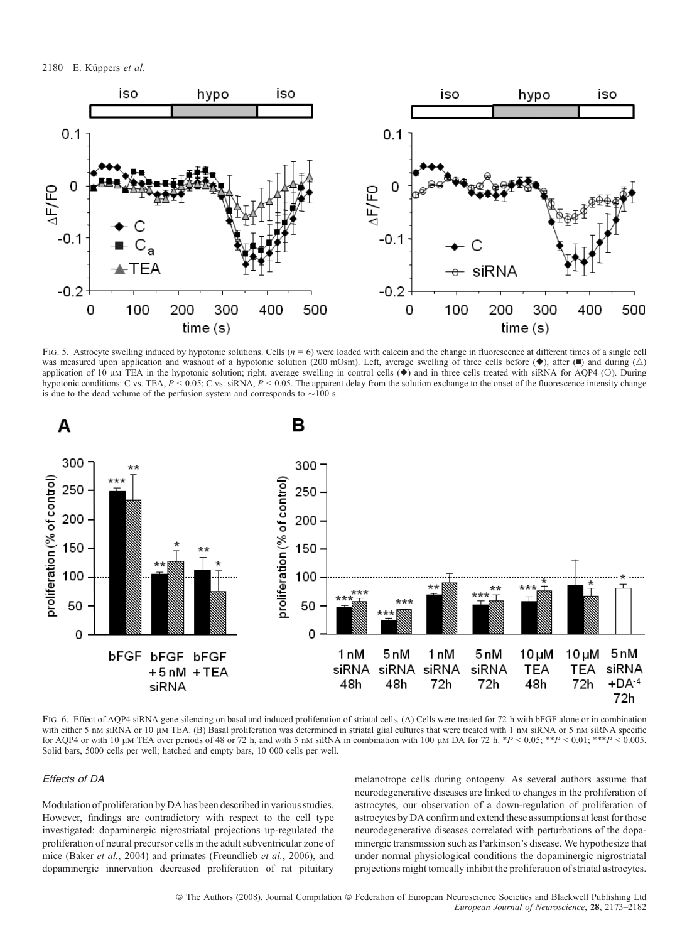2180 E. Küppers et al.



FIG. 5. Astrocyte swelling induced by hypotonic solutions. Cells  $(n = 6)$  were loaded with calcein and the change in fluorescence at different times of a single cell was measured upon application and washout of a hypotonic solution (200 mOsm). Left, average swelling of three cells before  $(\bullet)$ , after  $(\bullet)$  and during  $(\triangle)$ application of 10  $\mu$ M TEA in the hypotonic solution; right, average swelling in control cells ( $\blacklozenge$ ) and in three cells treated with siRNA for AQP4 (O). During hypotonic conditions: C vs. TEA,  $P \le 0.05$ ; C vs. siRNA,  $P \le 0.05$ . The apparent delay from the solution exchange to the onset of the fluorescence intensity change is due to the dead volume of the perfusion system and corresponds to  $\sim$ 100 s.



FIG. 6. Effect of AOP4 siRNA gene silencing on basal and induced proliferation of striatal cells. (A) Cells were treated for 72 h with bFGF alone or in combination with either 5 nm siRNA or 10 µm TEA. (B) Basal proliferation was determined in striatal glial cultures that were treated with 1 nm siRNA or 5 nm siRNA specific for AQP4 or with 10 µm TEA over periods of 48 or 72 h, and with 5 nm siRNA in combination with 100 µm DA for 72 h. \*P < 0.05; \*\*P < 0.01; \*\*\*P < 0.005. Solid bars, 5000 cells per well; hatched and empty bars, 10 000 cells per well.

# Effects of DA

Modulation of proliferation by DA has been described in various studies. However, findings are contradictory with respect to the cell type investigated: dopaminergic nigrostriatal projections up-regulated the proliferation of neural precursor cells in the adult subventricular zone of mice (Baker et al., 2004) and primates (Freundlieb et al., 2006), and dopaminergic innervation decreased proliferation of rat pituitary melanotrope cells during ontogeny. As several authors assume that neurodegenerative diseases are linked to changes in the proliferation of astrocytes, our observation of a down-regulation of proliferation of astrocytes by DA confirm and extend these assumptions at least for those neurodegenerative diseases correlated with perturbations of the dopaminergic transmission such as Parkinson's disease. We hypothesize that under normal physiological conditions the dopaminergic nigrostriatal projections might tonically inhibit the proliferation of striatal astrocytes.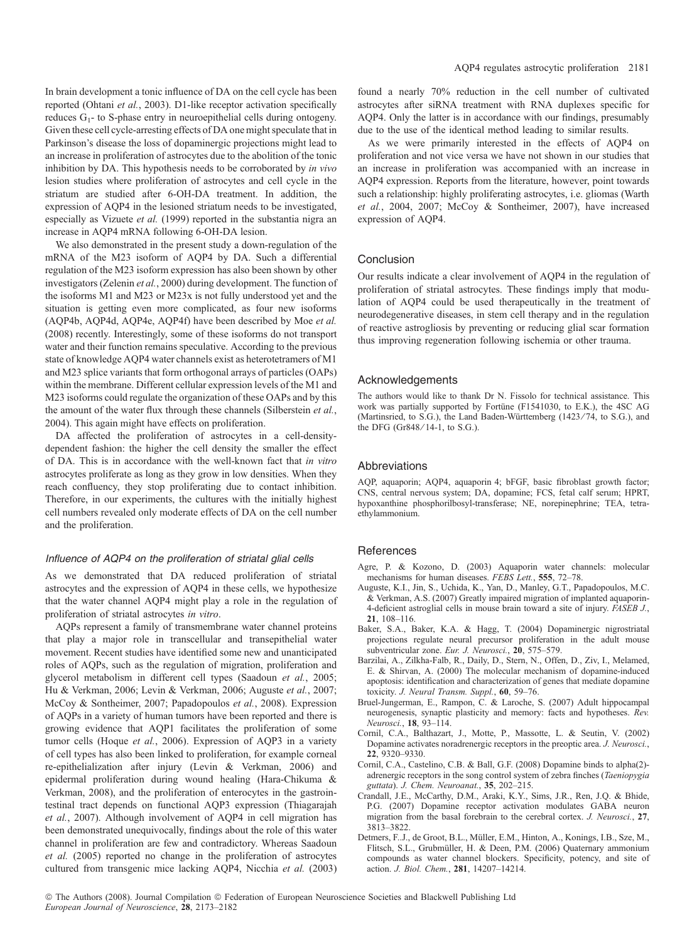In brain development a tonic influence of DA on the cell cycle has been reported (Ohtani et al., 2003). D1-like receptor activation specifically reduces  $G_1$ - to S-phase entry in neuroepithelial cells during ontogeny. Given these cell cycle-arresting effects of DA one might speculate that in Parkinson's disease the loss of dopaminergic projections might lead to an increase in proliferation of astrocytes due to the abolition of the tonic inhibition by DA. This hypothesis needs to be corroborated by in vivo lesion studies where proliferation of astrocytes and cell cycle in the striatum are studied after 6-OH-DA treatment. In addition, the expression of AQP4 in the lesioned striatum needs to be investigated, especially as Vizuete et al. (1999) reported in the substantia nigra an increase in AQP4 mRNA following 6-OH-DA lesion.

We also demonstrated in the present study a down-regulation of the mRNA of the M23 isoform of AQP4 by DA. Such a differential regulation of the M23 isoform expression has also been shown by other investigators (Zelenin et al., 2000) during development. The function of the isoforms M1 and M23 or M23x is not fully understood yet and the situation is getting even more complicated, as four new isoforms (AQP4b, AQP4d, AQP4e, AQP4f) have been described by Moe et al. (2008) recently. Interestingly, some of these isoforms do not transport water and their function remains speculative. According to the previous state of knowledge AQP4 water channels exist as heterotetramers of M1 and M23 splice variants that form orthogonal arrays of particles (OAPs) within the membrane. Different cellular expression levels of the M1 and M23 isoforms could regulate the organization of these OAPs and by this the amount of the water flux through these channels (Silberstein et al., 2004). This again might have effects on proliferation.

DA affected the proliferation of astrocytes in a cell-densitydependent fashion: the higher the cell density the smaller the effect of DA. This is in accordance with the well-known fact that in vitro astrocytes proliferate as long as they grow in low densities. When they reach confluency, they stop proliferating due to contact inhibition. Therefore, in our experiments, the cultures with the initially highest cell numbers revealed only moderate effects of DA on the cell number and the proliferation.

### Influence of AQP4 on the proliferation of striatal glial cells

As we demonstrated that DA reduced proliferation of striatal astrocytes and the expression of AQP4 in these cells, we hypothesize that the water channel AQP4 might play a role in the regulation of proliferation of striatal astrocytes in vitro.

AQPs represent a family of transmembrane water channel proteins that play a major role in transcellular and transepithelial water movement. Recent studies have identified some new and unanticipated roles of AQPs, such as the regulation of migration, proliferation and glycerol metabolism in different cell types (Saadoun et al., 2005; Hu & Verkman, 2006; Levin & Verkman, 2006; Auguste et al., 2007; McCoy & Sontheimer, 2007; Papadopoulos et al., 2008). Expression of AQPs in a variety of human tumors have been reported and there is growing evidence that AQP1 facilitates the proliferation of some tumor cells (Hoque et al., 2006). Expression of AQP3 in a variety of cell types has also been linked to proliferation, for example corneal re-epithelialization after injury (Levin & Verkman, 2006) and epidermal proliferation during wound healing (Hara-Chikuma & Verkman, 2008), and the proliferation of enterocytes in the gastrointestinal tract depends on functional AQP3 expression (Thiagarajah et al., 2007). Although involvement of AQP4 in cell migration has been demonstrated unequivocally, findings about the role of this water channel in proliferation are few and contradictory. Whereas Saadoun et al. (2005) reported no change in the proliferation of astrocytes cultured from transgenic mice lacking AQP4, Nicchia et al. (2003) found a nearly 70% reduction in the cell number of cultivated astrocytes after siRNA treatment with RNA duplexes specific for AQP4. Only the latter is in accordance with our findings, presumably due to the use of the identical method leading to similar results.

As we were primarily interested in the effects of AQP4 on proliferation and not vice versa we have not shown in our studies that an increase in proliferation was accompanied with an increase in AQP4 expression. Reports from the literature, however, point towards such a relationship: highly proliferating astrocytes, i.e. gliomas (Warth et al., 2004, 2007; McCoy & Sontheimer, 2007), have increased expression of AQP4.

#### Conclusion

Our results indicate a clear involvement of AQP4 in the regulation of proliferation of striatal astrocytes. These findings imply that modulation of AQP4 could be used therapeutically in the treatment of neurodegenerative diseases, in stem cell therapy and in the regulation of reactive astrogliosis by preventing or reducing glial scar formation thus improving regeneration following ischemia or other trauma.

#### Acknowledgements

The authors would like to thank Dr N. Fissolo for technical assistance. This work was partially supported by Fortüne (F1541030, to E.K.), the 4SC AG (Martinsried, to S.G.), the Land Baden-Württemberg (1423/74, to S.G.), and the DFG (Gr848/14-1, to S.G.).

#### Abbreviations

AQP, aquaporin; AQP4, aquaporin 4; bFGF, basic fibroblast growth factor; CNS, central nervous system; DA, dopamine; FCS, fetal calf serum; HPRT, hypoxanthine phosphorilbosyl-transferase; NE, norepinephrine; TEA, tetraethylammonium.

#### References

- Agre, P. & Kozono, D. (2003) Aquaporin water channels: molecular mechanisms for human diseases. FEBS Lett., 555, 72-78.
- Auguste, K.I., Jin, S., Uchida, K., Yan, D., Manley, G.T., Papadopoulos, M.C. & Verkman, A.S. (2007) Greatly impaired migration of implanted aquaporin-4-deficient astroglial cells in mouse brain toward a site of injury. FASEB J., 21, 108–116.
- Baker, S.A., Baker, K.A. & Hagg, T. (2004) Dopaminergic nigrostriatal projections regulate neural precursor proliferation in the adult mouse subventricular zone. Eur. J. Neurosci., 20, 575–579.
- Barzilai, A., Zilkha-Falb, R., Daily, D., Stern, N., Offen, D., Ziv, I., Melamed, E. & Shirvan, A. (2000) The molecular mechanism of dopamine-induced apoptosis: identification and characterization of genes that mediate dopamine toxicity. J. Neural Transm. Suppl., 60, 59–76.
- Bruel-Jungerman, E., Rampon, C. & Laroche, S. (2007) Adult hippocampal neurogenesis, synaptic plasticity and memory: facts and hypotheses. Rev. Neurosci., 18, 93–114.
- Cornil, C.A., Balthazart, J., Motte, P., Massotte, L. & Seutin, V. (2002) Dopamine activates noradrenergic receptors in the preoptic area. J. Neurosci., 22, 9320–9330.
- Cornil, C.A., Castelino, C.B. & Ball, G.F. (2008) Dopamine binds to alpha(2) adrenergic receptors in the song control system of zebra finches (Taeniopygia guttata). J. Chem. Neuroanat., 35, 202–215.
- Crandall, J.E., McCarthy, D.M., Araki, K.Y., Sims, J.R., Ren, J.Q. & Bhide, P.G. (2007) Dopamine receptor activation modulates GABA neuron migration from the basal forebrain to the cerebral cortex. J. Neurosci., 27, 3813–3822.
- Detmers, F.J., de Groot, B.L., Müller, E.M., Hinton, A., Konings, I.B., Sze, M., Flitsch, S.L., Grubmüller, H. & Deen, P.M. (2006) Quaternary ammonium compounds as water channel blockers. Specificity, potency, and site of action. J. Biol. Chem., 281, 14207–14214.